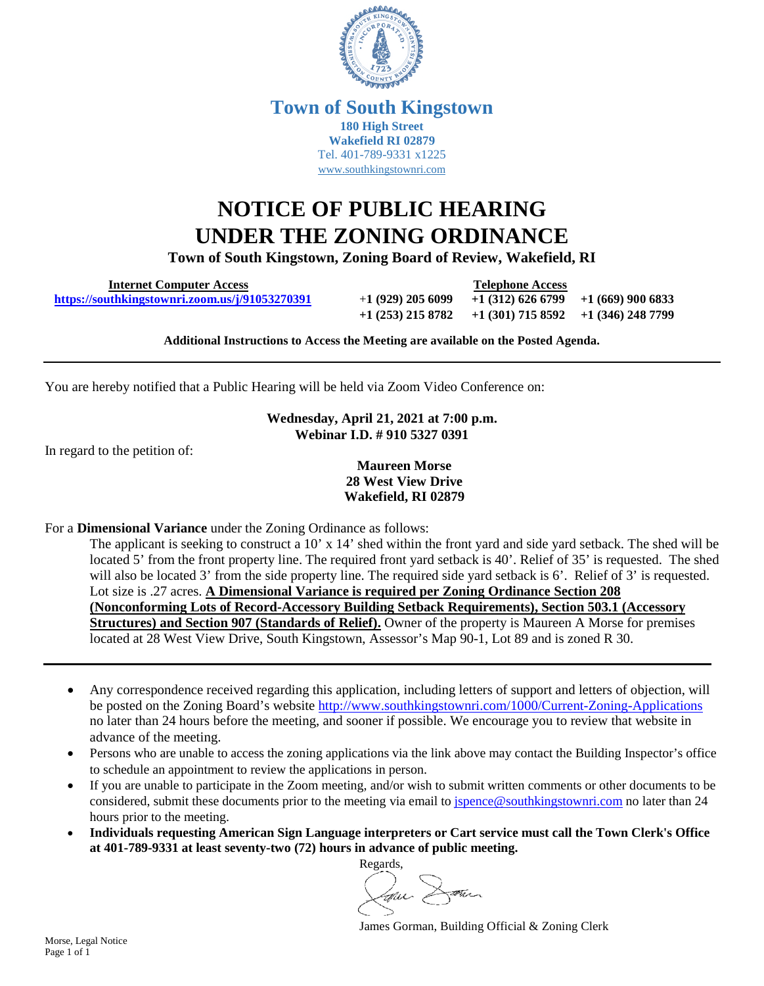

## **Town of South Kingstown 180 High Street Wakefield RI 02879** Tel. 401-789-9331 x1225 [www.southkingstownri.com](http://www.southkingstownri.com/)

## **NOTICE OF PUBLIC HEARING UNDER THE ZONING ORDINANCE**

**Town of South Kingstown, Zoning Board of Review, Wakefield, RI** 

 **Internet Computer Access Telephone Access <https://southkingstownri.zoom.us/j/91053270391>**+**1 (929) 205 6099 +1 (312) 626 6799 +1 (669) 900 6833**

**+1 (253) 215 8782 +1 (301) 715 8592 +1 (346) 248 7799** 

**Additional Instructions to Access the Meeting are available on the Posted Agenda.** 

You are hereby notified that a Public Hearing will be held via Zoom Video Conference on:

**Wednesday, April 21, 2021 at 7:00 p.m. Webinar I.D. # 910 5327 0391** 

In regard to the petition of:

**Maureen Morse 28 West View Drive Wakefield, RI 02879** 

For a **Dimensional Variance** under the Zoning Ordinance as follows:

The applicant is seeking to construct a 10' x 14' shed within the front yard and side yard setback. The shed will be located 5' from the front property line. The required front yard setback is 40'. Relief of 35' is requested. The shed will also be located 3' from the side property line. The required side yard setback is 6'. Relief of 3' is requested. Lot size is .27 acres. **A Dimensional Variance is required per Zoning Ordinance Section 208 (Nonconforming Lots of Record-Accessory Building Setback Requirements), Section 503.1 (Accessory Structures) and Section 907 (Standards of Relief).** Owner of the property is Maureen A Morse for premises located at 28 West View Drive, South Kingstown, Assessor's Map 90-1, Lot 89 and is zoned R 30.

- Any correspondence received regarding this application, including letters of support and letters of objection, will be posted on the Zoning Board's website<http://www.southkingstownri.com/1000/Current-Zoning-Applications> no later than 24 hours before the meeting, and sooner if possible. We encourage you to review that website in advance of the meeting.
- Persons who are unable to access the zoning applications via the link above may contact the Building Inspector's office to schedule an appointment to review the applications in person.
- If you are unable to participate in the Zoom meeting, and/or wish to submit written comments or other documents to be considered, submit these documents prior to the meeting via email to [jspence@southkingstownri.com](mailto:jspence@southkingstownri.com) no later than 24 hours prior to the meeting.
- **Individuals requesting American Sign Language interpreters or Cart service must call the Town Clerk's Office at 401-789-9331 at least seventy-two (72) hours in advance of public meeting.**

Regards, the

James Gorman, Building Official & Zoning Clerk